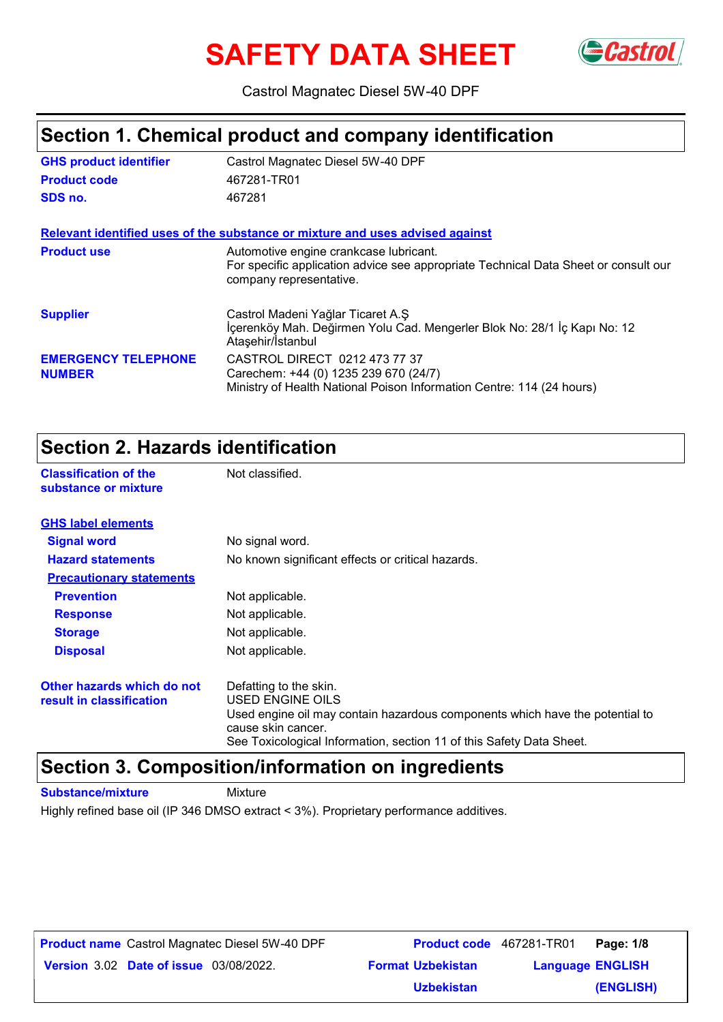# **SAFETY DATA SHEET**



Castrol Magnatec Diesel 5W-40 DPF

### **Section 1. Chemical product and company identification**

| <b>GHS product identifier</b>               | Castrol Magnatec Diesel 5W-40 DPF                                                                                                                        |
|---------------------------------------------|----------------------------------------------------------------------------------------------------------------------------------------------------------|
| <b>Product code</b>                         | 467281-TR01                                                                                                                                              |
| SDS no.                                     | 467281                                                                                                                                                   |
|                                             | Relevant identified uses of the substance or mixture and uses advised against                                                                            |
| <b>Product use</b>                          | Automotive engine crankcase lubricant.<br>For specific application advice see appropriate Technical Data Sheet or consult our<br>company representative. |
| <b>Supplier</b>                             | Castrol Madeni Yağlar Ticaret A.Ş<br>İçerenköy Mah. Değirmen Yolu Cad. Mengerler Blok No: 28/1 İç Kapı No: 12<br>Ataşehir/Istanbul                       |
| <b>EMERGENCY TELEPHONE</b><br><b>NUMBER</b> | CASTROL DIRECT 0212 473 77 37<br>Carechem: +44 (0) 1235 239 670 (24/7)<br>Ministry of Health National Poison Information Centre: 114 (24 hours)          |

### **Section 2. Hazards identification**

**Classification of the Mot classified. substance or mixture**

| <b>GHS label elements</b>                              |                                                                                                                                                                                                                          |  |
|--------------------------------------------------------|--------------------------------------------------------------------------------------------------------------------------------------------------------------------------------------------------------------------------|--|
| <b>Signal word</b>                                     | No signal word.                                                                                                                                                                                                          |  |
| <b>Hazard statements</b>                               | No known significant effects or critical hazards.                                                                                                                                                                        |  |
| <b>Precautionary statements</b>                        |                                                                                                                                                                                                                          |  |
| <b>Prevention</b>                                      | Not applicable.                                                                                                                                                                                                          |  |
| <b>Response</b>                                        | Not applicable.                                                                                                                                                                                                          |  |
| <b>Storage</b>                                         | Not applicable.                                                                                                                                                                                                          |  |
| <b>Disposal</b>                                        | Not applicable.                                                                                                                                                                                                          |  |
| Other hazards which do not<br>result in classification | Defatting to the skin.<br>USED ENGINE OILS<br>Used engine oil may contain hazardous components which have the potential to<br>cause skin cancer.<br>See Toxicological Information, section 11 of this Safety Data Sheet. |  |

### **Section 3. Composition/information on ingredients**

**Substance/mixture** Mixture

Highly refined base oil (IP 346 DMSO extract < 3%). Proprietary performance additives.

**Date of issue** 03/08/2022. **Version** 3.02 **Format Uzbekistan Language Product name** Castrol Magnatec Diesel 5W-40 DPF **Product code** 467281-TR01 **Page: 1/8 Language ENGLISH (ENGLISH) Product code** 467281-TR01 Page: 1/8 **Uzbekistan**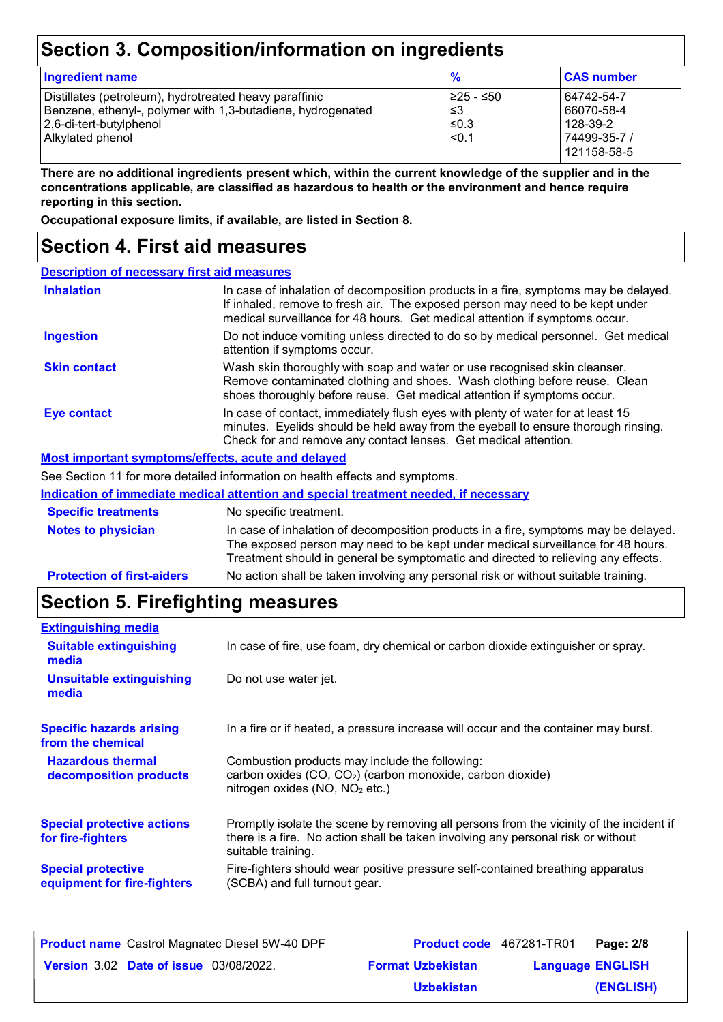## **Section 3. Composition/information on ingredients**

| <b>Ingredient name</b>                                                                                                                                               | $\frac{9}{6}$                            | <b>CAS number</b>                                                   |
|----------------------------------------------------------------------------------------------------------------------------------------------------------------------|------------------------------------------|---------------------------------------------------------------------|
| Distillates (petroleum), hydrotreated heavy paraffinic<br>Benzene, ethenyl-, polymer with 1,3-butadiene, hydrogenated<br>2,6-di-tert-butylphenol<br>Alkylated phenol | 1≥25 - ≤50<br>l ≤3<br>$≤0.3$<br>$ $ <0.1 | 64742-54-7<br>66070-58-4<br>128-39-2<br>74499-35-7 /<br>121158-58-5 |

**There are no additional ingredients present which, within the current knowledge of the supplier and in the concentrations applicable, are classified as hazardous to health or the environment and hence require reporting in this section.**

**Occupational exposure limits, if available, are listed in Section 8.**

### **Section 4. First aid measures**

| <b>Description of necessary first aid measures</b> |                                                                                                                                                                                                                                                             |  |
|----------------------------------------------------|-------------------------------------------------------------------------------------------------------------------------------------------------------------------------------------------------------------------------------------------------------------|--|
| <b>Inhalation</b>                                  | In case of inhalation of decomposition products in a fire, symptoms may be delayed.<br>If inhaled, remove to fresh air. The exposed person may need to be kept under<br>medical surveillance for 48 hours. Get medical attention if symptoms occur.         |  |
| <b>Ingestion</b>                                   | Do not induce vomiting unless directed to do so by medical personnel. Get medical<br>attention if symptoms occur.                                                                                                                                           |  |
| <b>Skin contact</b>                                | Wash skin thoroughly with soap and water or use recognised skin cleanser.<br>Remove contaminated clothing and shoes. Wash clothing before reuse. Clean<br>shoes thoroughly before reuse. Get medical attention if symptoms occur.                           |  |
| Eye contact                                        | In case of contact, immediately flush eyes with plenty of water for at least 15<br>minutes. Eyelids should be held away from the eyeball to ensure thorough rinsing.<br>Check for and remove any contact lenses. Get medical attention.                     |  |
| Most important symptoms/effects, acute and delayed |                                                                                                                                                                                                                                                             |  |
|                                                    | See Section 11 for more detailed information on health effects and symptoms.                                                                                                                                                                                |  |
|                                                    | Indication of immediate medical attention and special treatment needed, if necessary                                                                                                                                                                        |  |
| <b>Specific treatments</b>                         | No specific treatment.                                                                                                                                                                                                                                      |  |
| <b>Notes to physician</b>                          | In case of inhalation of decomposition products in a fire, symptoms may be delayed.<br>The exposed person may need to be kept under medical surveillance for 48 hours.<br>Treatment should in general be symptomatic and directed to relieving any effects. |  |
| <b>Protection of first-aiders</b>                  | No action shall be taken involving any personal risk or without suitable training.                                                                                                                                                                          |  |

## **Section 5. Firefighting measures**

| <b>Extinguishing media</b>                               |                                                                                                                                                                                                   |
|----------------------------------------------------------|---------------------------------------------------------------------------------------------------------------------------------------------------------------------------------------------------|
| <b>Suitable extinguishing</b><br>media                   | In case of fire, use foam, dry chemical or carbon dioxide extinguisher or spray.                                                                                                                  |
| <b>Unsuitable extinguishing</b><br>media                 | Do not use water jet.                                                                                                                                                                             |
| <b>Specific hazards arising</b><br>from the chemical     | In a fire or if heated, a pressure increase will occur and the container may burst.                                                                                                               |
| <b>Hazardous thermal</b><br>decomposition products       | Combustion products may include the following:<br>carbon oxides (CO, CO <sub>2</sub> ) (carbon monoxide, carbon dioxide)<br>nitrogen oxides (NO, NO <sub>2</sub> etc.)                            |
| <b>Special protective actions</b><br>for fire-fighters   | Promptly isolate the scene by removing all persons from the vicinity of the incident if<br>there is a fire. No action shall be taken involving any personal risk or without<br>suitable training. |
| <b>Special protective</b><br>equipment for fire-fighters | Fire-fighters should wear positive pressure self-contained breathing apparatus<br>(SCBA) and full turnout gear.                                                                                   |

| <b>Product name</b> Castrol Magnatec Diesel 5W-40 DPF | Product code 467281-TR01 |                         | Page: 2/8 |
|-------------------------------------------------------|--------------------------|-------------------------|-----------|
| <b>Version 3.02 Date of issue 03/08/2022.</b>         | <b>Format Uzbekistan</b> | <b>Language ENGLISH</b> |           |
|                                                       | <b>Uzbekistan</b>        |                         | (ENGLISH) |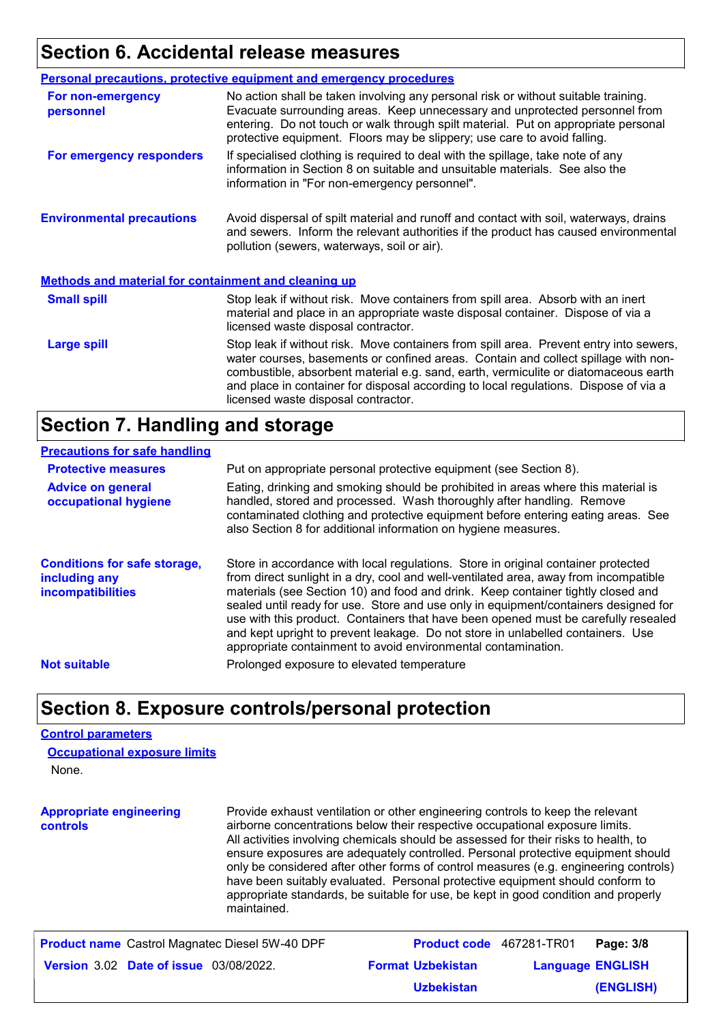### **Section 6. Accidental release measures**

|                                                             | <b>Personal precautions, protective equipment and emergency procedures</b>                                                                                                                                                                                                                                                                                                                         |  |
|-------------------------------------------------------------|----------------------------------------------------------------------------------------------------------------------------------------------------------------------------------------------------------------------------------------------------------------------------------------------------------------------------------------------------------------------------------------------------|--|
| For non-emergency<br>personnel                              | No action shall be taken involving any personal risk or without suitable training.<br>Evacuate surrounding areas. Keep unnecessary and unprotected personnel from<br>entering. Do not touch or walk through spilt material. Put on appropriate personal<br>protective equipment. Floors may be slippery; use care to avoid falling.                                                                |  |
| For emergency responders                                    | If specialised clothing is required to deal with the spillage, take note of any<br>information in Section 8 on suitable and unsuitable materials. See also the<br>information in "For non-emergency personnel".                                                                                                                                                                                    |  |
| <b>Environmental precautions</b>                            | Avoid dispersal of spilt material and runoff and contact with soil, waterways, drains<br>and sewers. Inform the relevant authorities if the product has caused environmental<br>pollution (sewers, waterways, soil or air).                                                                                                                                                                        |  |
| <b>Methods and material for containment and cleaning up</b> |                                                                                                                                                                                                                                                                                                                                                                                                    |  |
| <b>Small spill</b>                                          | Stop leak if without risk. Move containers from spill area. Absorb with an inert<br>material and place in an appropriate waste disposal container. Dispose of via a<br>licensed waste disposal contractor.                                                                                                                                                                                         |  |
| <b>Large spill</b>                                          | Stop leak if without risk. Move containers from spill area. Prevent entry into sewers,<br>water courses, basements or confined areas. Contain and collect spillage with non-<br>combustible, absorbent material e.g. sand, earth, vermiculite or diatomaceous earth<br>and place in container for disposal according to local regulations. Dispose of via a<br>licensed waste disposal contractor. |  |

### **Section 7. Handling and storage**

#### **Precautions for safe handling**

| <b>Protective measures</b>                                                       | Put on appropriate personal protective equipment (see Section 8).                                                                                                                                                                                                                                                                                                                                                                                                                                                                                                                              |
|----------------------------------------------------------------------------------|------------------------------------------------------------------------------------------------------------------------------------------------------------------------------------------------------------------------------------------------------------------------------------------------------------------------------------------------------------------------------------------------------------------------------------------------------------------------------------------------------------------------------------------------------------------------------------------------|
| <b>Advice on general</b><br>occupational hygiene                                 | Eating, drinking and smoking should be prohibited in areas where this material is<br>handled, stored and processed. Wash thoroughly after handling. Remove<br>contaminated clothing and protective equipment before entering eating areas. See<br>also Section 8 for additional information on hygiene measures.                                                                                                                                                                                                                                                                               |
| <b>Conditions for safe storage,</b><br>including any<br><b>incompatibilities</b> | Store in accordance with local regulations. Store in original container protected<br>from direct sunlight in a dry, cool and well-ventilated area, away from incompatible<br>materials (see Section 10) and food and drink. Keep container tightly closed and<br>sealed until ready for use. Store and use only in equipment/containers designed for<br>use with this product. Containers that have been opened must be carefully resealed<br>and kept upright to prevent leakage. Do not store in unlabelled containers. Use<br>appropriate containment to avoid environmental contamination. |
| <b>Not suitable</b>                                                              | Prolonged exposure to elevated temperature                                                                                                                                                                                                                                                                                                                                                                                                                                                                                                                                                     |
|                                                                                  |                                                                                                                                                                                                                                                                                                                                                                                                                                                                                                                                                                                                |

### **Section 8. Exposure controls/personal protection**

#### **Control parameters**

None. **Occupational exposure limits**

**Appropriate engineering controls** Provide exhaust ventilation or other engineering controls to keep the relevant airborne concentrations below their respective occupational exposure limits. All activities involving chemicals should be assessed for their risks to health, to ensure exposures are adequately controlled. Personal protective equipment should only be considered after other forms of control measures (e.g. engineering controls) have been suitably evaluated. Personal protective equipment should conform to appropriate standards, be suitable for use, be kept in good condition and properly maintained.

| <b>Product name</b> Castrol Magnatec Diesel 5W-40 DPF | <b>Product code</b> 467281-TR01 |                         | Page: 3/8 |
|-------------------------------------------------------|---------------------------------|-------------------------|-----------|
| <b>Version 3.02 Date of issue 03/08/2022.</b>         | <b>Format Uzbekistan</b>        | <b>Language ENGLISH</b> |           |
|                                                       | <b>Uzbekistan</b>               |                         | (ENGLISH) |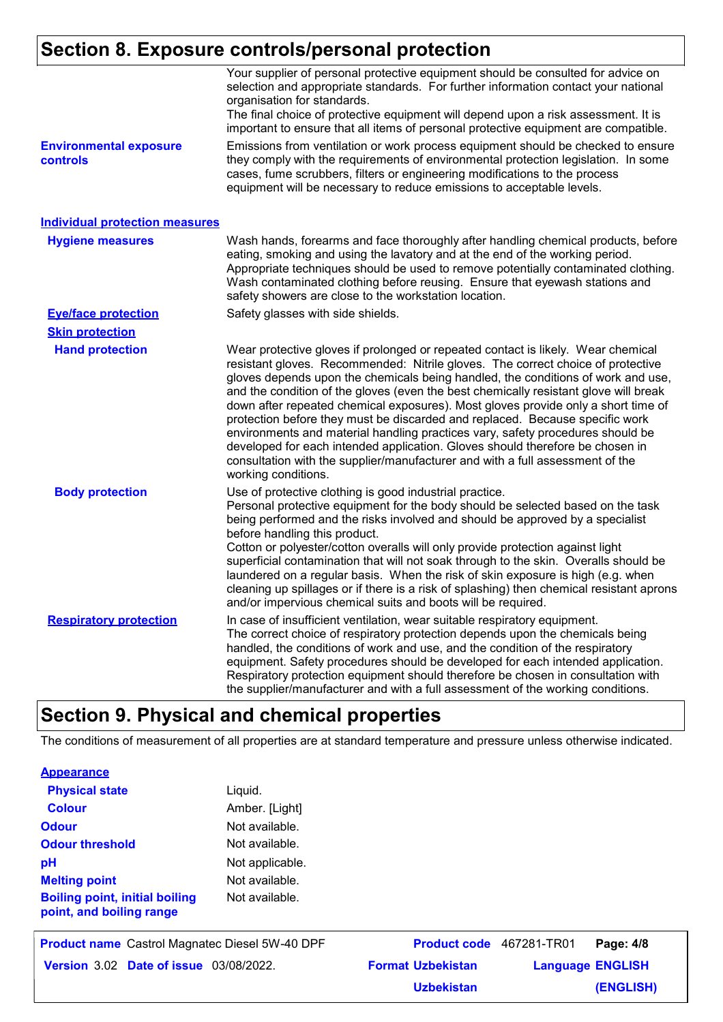### **Section 8. Exposure controls/personal protection**

|                                                  | Your supplier of personal protective equipment should be consulted for advice on<br>selection and appropriate standards. For further information contact your national<br>organisation for standards.<br>The final choice of protective equipment will depend upon a risk assessment. It is<br>important to ensure that all items of personal protective equipment are compatible.                                                                                                                                                                                                                                                                                                                                                                                                              |
|--------------------------------------------------|-------------------------------------------------------------------------------------------------------------------------------------------------------------------------------------------------------------------------------------------------------------------------------------------------------------------------------------------------------------------------------------------------------------------------------------------------------------------------------------------------------------------------------------------------------------------------------------------------------------------------------------------------------------------------------------------------------------------------------------------------------------------------------------------------|
| <b>Environmental exposure</b><br><b>controls</b> | Emissions from ventilation or work process equipment should be checked to ensure<br>they comply with the requirements of environmental protection legislation. In some<br>cases, fume scrubbers, filters or engineering modifications to the process<br>equipment will be necessary to reduce emissions to acceptable levels.                                                                                                                                                                                                                                                                                                                                                                                                                                                                   |
| <b>Individual protection measures</b>            |                                                                                                                                                                                                                                                                                                                                                                                                                                                                                                                                                                                                                                                                                                                                                                                                 |
| <b>Hygiene measures</b>                          | Wash hands, forearms and face thoroughly after handling chemical products, before<br>eating, smoking and using the lavatory and at the end of the working period.<br>Appropriate techniques should be used to remove potentially contaminated clothing.<br>Wash contaminated clothing before reusing. Ensure that eyewash stations and<br>safety showers are close to the workstation location.                                                                                                                                                                                                                                                                                                                                                                                                 |
| <b>Eye/face protection</b>                       | Safety glasses with side shields.                                                                                                                                                                                                                                                                                                                                                                                                                                                                                                                                                                                                                                                                                                                                                               |
| <b>Skin protection</b>                           |                                                                                                                                                                                                                                                                                                                                                                                                                                                                                                                                                                                                                                                                                                                                                                                                 |
| <b>Hand protection</b>                           | Wear protective gloves if prolonged or repeated contact is likely. Wear chemical<br>resistant gloves. Recommended: Nitrile gloves. The correct choice of protective<br>gloves depends upon the chemicals being handled, the conditions of work and use,<br>and the condition of the gloves (even the best chemically resistant glove will break<br>down after repeated chemical exposures). Most gloves provide only a short time of<br>protection before they must be discarded and replaced. Because specific work<br>environments and material handling practices vary, safety procedures should be<br>developed for each intended application. Gloves should therefore be chosen in<br>consultation with the supplier/manufacturer and with a full assessment of the<br>working conditions. |
| <b>Body protection</b>                           | Use of protective clothing is good industrial practice.<br>Personal protective equipment for the body should be selected based on the task<br>being performed and the risks involved and should be approved by a specialist<br>before handling this product.<br>Cotton or polyester/cotton overalls will only provide protection against light<br>superficial contamination that will not soak through to the skin. Overalls should be<br>laundered on a regular basis. When the risk of skin exposure is high (e.g. when<br>cleaning up spillages or if there is a risk of splashing) then chemical resistant aprons<br>and/or impervious chemical suits and boots will be required.                                                                                                           |
| <b>Respiratory protection</b>                    | In case of insufficient ventilation, wear suitable respiratory equipment.<br>The correct choice of respiratory protection depends upon the chemicals being<br>handled, the conditions of work and use, and the condition of the respiratory<br>equipment. Safety procedures should be developed for each intended application.<br>Respiratory protection equipment should therefore be chosen in consultation with<br>the supplier/manufacturer and with a full assessment of the working conditions.                                                                                                                                                                                                                                                                                           |

### **Section 9. Physical and chemical properties**

The conditions of measurement of all properties are at standard temperature and pressure unless otherwise indicated.

| <b>Physical state</b>                                             | Liquid.         |
|-------------------------------------------------------------------|-----------------|
| <b>Colour</b>                                                     | Amber. [Light]  |
| <b>Odour</b>                                                      | Not available.  |
| <b>Odour threshold</b>                                            | Not available.  |
| рH                                                                | Not applicable. |
| <b>Melting point</b>                                              | Not available.  |
| <b>Boiling point, initial boiling</b><br>point, and boiling range | Not available.  |

| <b>Product name</b> Castrol Magnatec Diesel 5W-40 DPF |  | <b>Product code</b> 467281-TR01 |                          | Page: 4/8               |           |
|-------------------------------------------------------|--|---------------------------------|--------------------------|-------------------------|-----------|
| <b>Version 3.02 Date of issue 03/08/2022.</b>         |  |                                 | <b>Format Uzbekistan</b> | <b>Language ENGLISH</b> |           |
|                                                       |  |                                 | <b>Uzbekistan</b>        |                         | (ENGLISH) |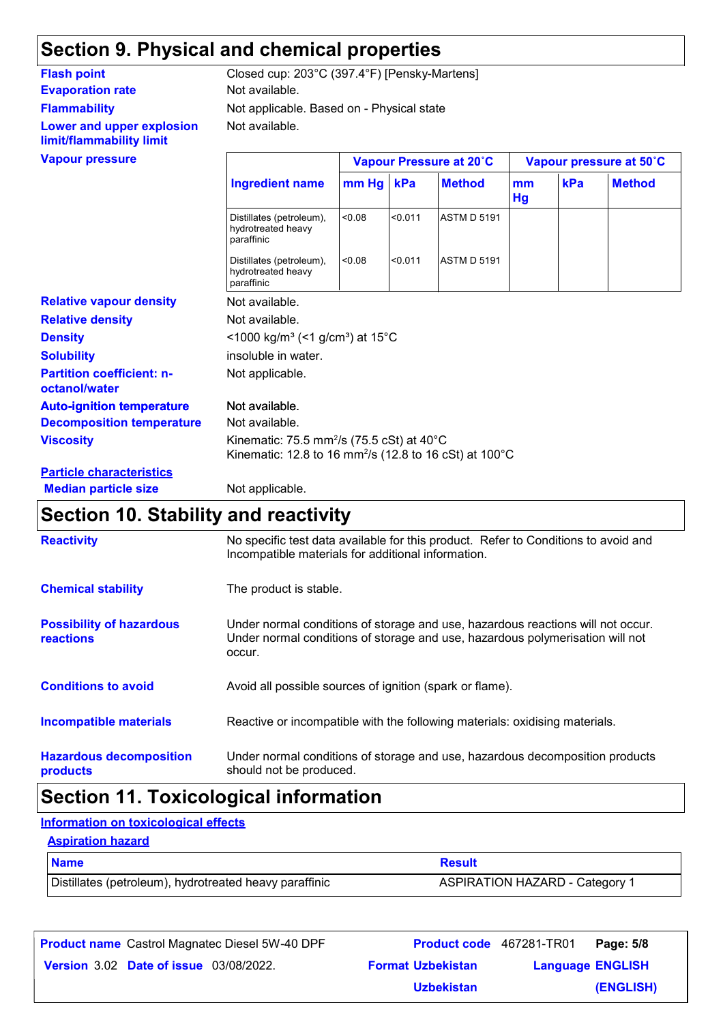## **Section 9. Physical and chemical properties**

### **Evaporation rate** Not available. **Flammability Lower and upper explosion limit/flammability limit**

Not available. Not applicable. Based on - Physical state **Flash point** Closed cup: 203°C (397.4°F) [Pensky-Martens]

| <b>Vapour pressure</b>                            |                                                                                                                                        |         |         | Vapour Pressure at 20°C |          |     | Vapour pressure at 50°C |
|---------------------------------------------------|----------------------------------------------------------------------------------------------------------------------------------------|---------|---------|-------------------------|----------|-----|-------------------------|
|                                                   | <b>Ingredient name</b>                                                                                                                 | $mm$ Hg | kPa     | <b>Method</b>           | mm<br>Hg | kPa | <b>Method</b>           |
|                                                   | Distillates (petroleum),<br>hydrotreated heavy<br>paraffinic                                                                           | < 0.08  | < 0.011 | <b>ASTM D 5191</b>      |          |     |                         |
|                                                   | Distillates (petroleum),<br>hydrotreated heavy<br>paraffinic                                                                           | < 0.08  | < 0.011 | <b>ASTM D 5191</b>      |          |     |                         |
| <b>Relative vapour density</b>                    | Not available.                                                                                                                         |         |         |                         |          |     |                         |
| <b>Relative density</b>                           | Not available.                                                                                                                         |         |         |                         |          |     |                         |
| <b>Density</b>                                    | <1000 kg/m <sup>3</sup> (<1 g/cm <sup>3</sup> ) at 15°C                                                                                |         |         |                         |          |     |                         |
| <b>Solubility</b>                                 | insoluble in water.                                                                                                                    |         |         |                         |          |     |                         |
| <b>Partition coefficient: n-</b><br>octanol/water | Not applicable.                                                                                                                        |         |         |                         |          |     |                         |
| <b>Auto-ignition temperature</b>                  | Not available.                                                                                                                         |         |         |                         |          |     |                         |
| <b>Decomposition temperature</b>                  | Not available.                                                                                                                         |         |         |                         |          |     |                         |
| <b>Viscosity</b>                                  | Kinematic: 75.5 mm <sup>2</sup> /s (75.5 cSt) at 40 $^{\circ}$ C<br>Kinematic: 12.8 to 16 mm <sup>2</sup> /s (12.8 to 16 cSt) at 100°C |         |         |                         |          |     |                         |
| <b>Particle characteristics</b>                   |                                                                                                                                        |         |         |                         |          |     |                         |
| <b>Median particle size</b>                       | Not applicable.                                                                                                                        |         |         |                         |          |     |                         |

### **Section 10. Stability and reactivity**

| <b>Reactivity</b>                                   | No specific test data available for this product. Refer to Conditions to avoid and<br>Incompatible materials for additional information.                                   |
|-----------------------------------------------------|----------------------------------------------------------------------------------------------------------------------------------------------------------------------------|
| <b>Chemical stability</b>                           | The product is stable.                                                                                                                                                     |
| <b>Possibility of hazardous</b><br><b>reactions</b> | Under normal conditions of storage and use, hazardous reactions will not occur.<br>Under normal conditions of storage and use, hazardous polymerisation will not<br>occur. |
| <b>Conditions to avoid</b>                          | Avoid all possible sources of ignition (spark or flame).                                                                                                                   |
| Incompatible materials                              | Reactive or incompatible with the following materials: oxidising materials.                                                                                                |
| <b>Hazardous decomposition</b><br>products          | Under normal conditions of storage and use, hazardous decomposition products<br>should not be produced.                                                                    |

### **Section 11. Toxicological information**

#### **Information on toxicological effects**

#### **Aspiration hazard**

| <b>Name</b>                                            | <b>Result</b>                         |
|--------------------------------------------------------|---------------------------------------|
| Distillates (petroleum), hydrotreated heavy paraffinic | <b>ASPIRATION HAZARD - Category 1</b> |

| <b>Product name</b> Castrol Magnatec Diesel 5W-40 DPF |                          | <b>Product code</b> 467281-TR01 | Page: 5/8 |
|-------------------------------------------------------|--------------------------|---------------------------------|-----------|
| <b>Version 3.02 Date of issue 03/08/2022.</b>         | <b>Format Uzbekistan</b> | <b>Language ENGLISH</b>         |           |
|                                                       | <b>Uzbekistan</b>        |                                 | (ENGLISH) |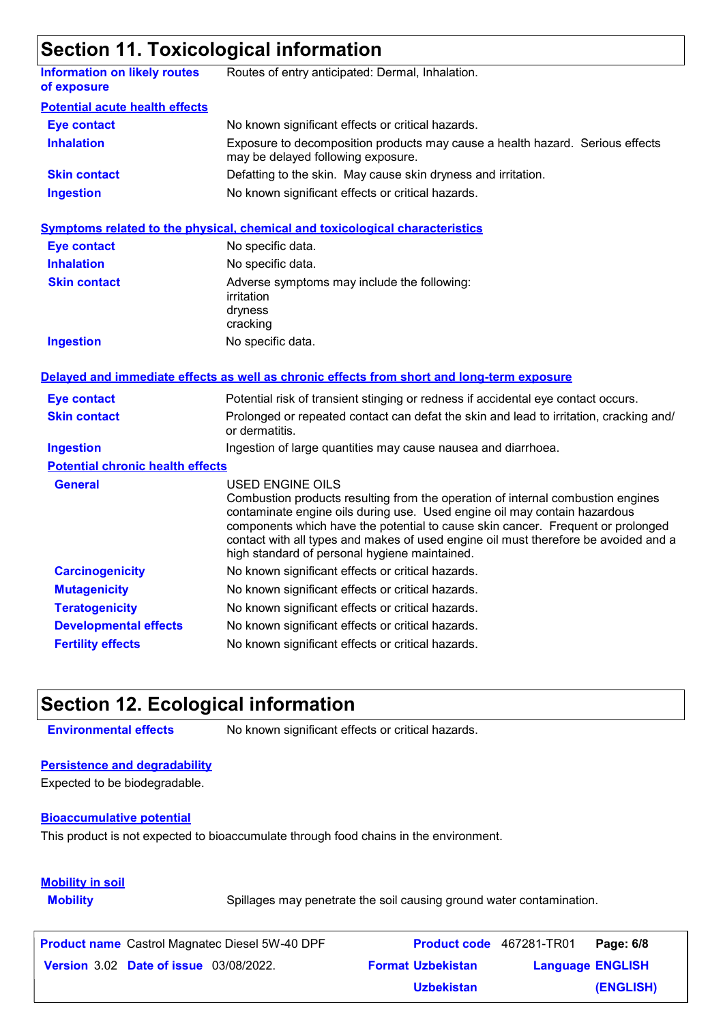### **Section 11. Toxicological information**

|                                                    | <u>oconon 11.10xioologioal information</u>                                                                                                                                                                                                                                                                                                                                                                         |
|----------------------------------------------------|--------------------------------------------------------------------------------------------------------------------------------------------------------------------------------------------------------------------------------------------------------------------------------------------------------------------------------------------------------------------------------------------------------------------|
| <b>Information on likely routes</b><br>of exposure | Routes of entry anticipated: Dermal, Inhalation.                                                                                                                                                                                                                                                                                                                                                                   |
| <b>Potential acute health effects</b>              |                                                                                                                                                                                                                                                                                                                                                                                                                    |
| <b>Eye contact</b>                                 | No known significant effects or critical hazards.                                                                                                                                                                                                                                                                                                                                                                  |
| <b>Inhalation</b>                                  | Exposure to decomposition products may cause a health hazard. Serious effects<br>may be delayed following exposure.                                                                                                                                                                                                                                                                                                |
| <b>Skin contact</b>                                | Defatting to the skin. May cause skin dryness and irritation.                                                                                                                                                                                                                                                                                                                                                      |
| <b>Ingestion</b>                                   | No known significant effects or critical hazards.                                                                                                                                                                                                                                                                                                                                                                  |
|                                                    | <b>Symptoms related to the physical, chemical and toxicological characteristics</b>                                                                                                                                                                                                                                                                                                                                |
| <b>Eye contact</b>                                 | No specific data.                                                                                                                                                                                                                                                                                                                                                                                                  |
| <b>Inhalation</b>                                  | No specific data.                                                                                                                                                                                                                                                                                                                                                                                                  |
| <b>Skin contact</b>                                | Adverse symptoms may include the following:<br>irritation<br>dryness<br>cracking                                                                                                                                                                                                                                                                                                                                   |
| <b>Ingestion</b>                                   | No specific data.                                                                                                                                                                                                                                                                                                                                                                                                  |
|                                                    | Delayed and immediate effects as well as chronic effects from short and long-term exposure                                                                                                                                                                                                                                                                                                                         |
| <b>Eye contact</b>                                 | Potential risk of transient stinging or redness if accidental eye contact occurs.                                                                                                                                                                                                                                                                                                                                  |
| <b>Skin contact</b>                                | Prolonged or repeated contact can defat the skin and lead to irritation, cracking and/<br>or dermatitis.                                                                                                                                                                                                                                                                                                           |
| <b>Ingestion</b>                                   | Ingestion of large quantities may cause nausea and diarrhoea.                                                                                                                                                                                                                                                                                                                                                      |
| <b>Potential chronic health effects</b>            |                                                                                                                                                                                                                                                                                                                                                                                                                    |
| <b>General</b>                                     | <b>USED ENGINE OILS</b><br>Combustion products resulting from the operation of internal combustion engines<br>contaminate engine oils during use. Used engine oil may contain hazardous<br>components which have the potential to cause skin cancer. Frequent or prolonged<br>contact with all types and makes of used engine oil must therefore be avoided and a<br>high standard of personal hygiene maintained. |
| <b>Carcinogenicity</b>                             | No known significant effects or critical hazards.                                                                                                                                                                                                                                                                                                                                                                  |
| <b>Mutagenicity</b>                                | No known significant effects or critical hazards.                                                                                                                                                                                                                                                                                                                                                                  |
| <b>Teratogenicity</b>                              | No known significant effects or critical hazards.                                                                                                                                                                                                                                                                                                                                                                  |
| <b>Developmental effects</b>                       | No known significant effects or critical hazards.                                                                                                                                                                                                                                                                                                                                                                  |
| <b>Fertility effects</b>                           | No known significant effects or critical hazards.                                                                                                                                                                                                                                                                                                                                                                  |

### **Section 12. Ecological information**

**Environmental effects** No known significant effects or critical hazards.

### **Persistence and degradability**

Expected to be biodegradable.

#### **Bioaccumulative potential**

This product is not expected to bioaccumulate through food chains in the environment.

### **Mobility in soil**

**Mobility** Spillages may penetrate the soil causing ground water contamination.

| <b>Product name</b> Castrol Magnatec Diesel 5W-40 DPF | Product code 467281-TR01 |                         | Page: 6/8 |
|-------------------------------------------------------|--------------------------|-------------------------|-----------|
| <b>Version 3.02 Date of issue 03/08/2022.</b>         | <b>Format Uzbekistan</b> | <b>Language ENGLISH</b> |           |
|                                                       | <b>Uzbekistan</b>        |                         | (ENGLISH) |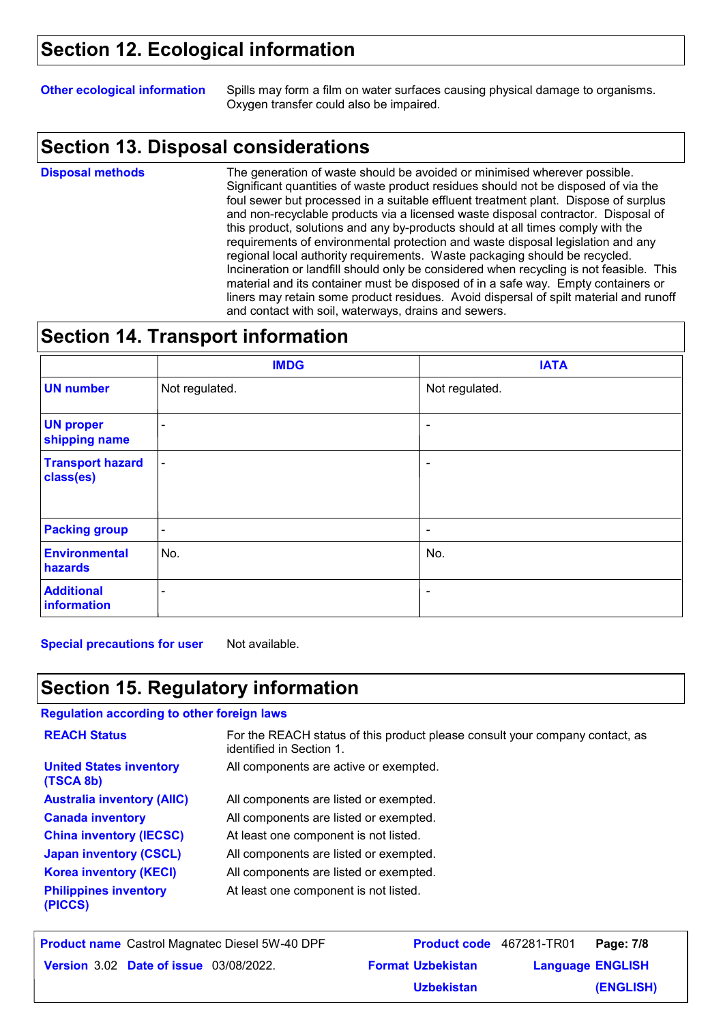### **Section 12. Ecological information**

**Other ecological information** Spills may form a film on water surfaces causing physical damage to organisms. Oxygen transfer could also be impaired.

### **Section 13. Disposal considerations**

**Disposal methods**

The generation of waste should be avoided or minimised wherever possible. Significant quantities of waste product residues should not be disposed of via the foul sewer but processed in a suitable effluent treatment plant. Dispose of surplus and non-recyclable products via a licensed waste disposal contractor. Disposal of this product, solutions and any by-products should at all times comply with the requirements of environmental protection and waste disposal legislation and any regional local authority requirements. Waste packaging should be recycled. Incineration or landfill should only be considered when recycling is not feasible. This material and its container must be disposed of in a safe way. Empty containers or liners may retain some product residues. Avoid dispersal of spilt material and runoff and contact with soil, waterways, drains and sewers.

### **Section 14. Transport information**

|                                      | <b>IMDG</b>              | <b>IATA</b>              |
|--------------------------------------|--------------------------|--------------------------|
| <b>UN number</b>                     | Not regulated.           | Not regulated.           |
| <b>UN proper</b><br>shipping name    | $\blacksquare$           | $\overline{\phantom{a}}$ |
| <b>Transport hazard</b><br>class(es) | $\blacksquare$           | ۰                        |
| <b>Packing group</b>                 | $\overline{\phantom{a}}$ | ٠                        |
| <b>Environmental</b><br>hazards      | No.                      | No.                      |
| <b>Additional</b><br>information     | $\blacksquare$           | $\tilde{\phantom{a}}$    |

**Special precautions for user** Not available.

### **Section 15. Regulatory information**

#### **Regulation according to other foreign laws**

| <b>REACH Status</b>                         | For the REACH status of this product please consult your company contact, as<br>identified in Section 1. |
|---------------------------------------------|----------------------------------------------------------------------------------------------------------|
| <b>United States inventory</b><br>(TSCA 8b) | All components are active or exempted.                                                                   |
| <b>Australia inventory (AIIC)</b>           | All components are listed or exempted.                                                                   |
| <b>Canada inventory</b>                     | All components are listed or exempted.                                                                   |
| <b>China inventory (IECSC)</b>              | At least one component is not listed.                                                                    |
| <b>Japan inventory (CSCL)</b>               | All components are listed or exempted.                                                                   |
| <b>Korea inventory (KECI)</b>               | All components are listed or exempted.                                                                   |
| <b>Philippines inventory</b><br>(PICCS)     | At least one component is not listed.                                                                    |

| <b>Product name</b> Castrol Magnatec Diesel 5W-40 DPF | Product code 467281-TR01 |                         | Page: 7/8 |
|-------------------------------------------------------|--------------------------|-------------------------|-----------|
| <b>Version 3.02 Date of issue 03/08/2022.</b>         | <b>Format Uzbekistan</b> | <b>Language ENGLISH</b> |           |
|                                                       | <b>Uzbekistan</b>        |                         | (ENGLISH) |